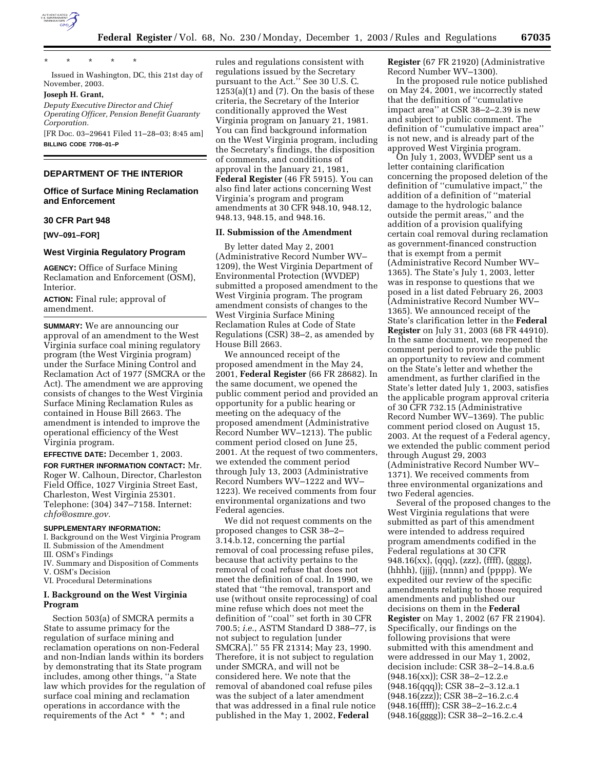

\* \* \* \* \*

Issued in Washington, DC, this 21st day of November, 2003.

# **Joseph H. Grant,**

*Deputy Executive Director and Chief Operating Officer, Pension Benefit Guaranty Corporation.*

[FR Doc. 03–29641 Filed 11–28–03; 8:45 am] **BILLING CODE 7708–01–P**

## **DEPARTMENT OF THE INTERIOR**

## **Office of Surface Mining Reclamation and Enforcement**

### **30 CFR Part 948**

**[WV–091–FOR]** 

## **West Virginia Regulatory Program**

**AGENCY:** Office of Surface Mining Reclamation and Enforcement (OSM), **Interior** 

**ACTION:** Final rule; approval of amendment.

**SUMMARY:** We are announcing our approval of an amendment to the West Virginia surface coal mining regulatory program (the West Virginia program) under the Surface Mining Control and Reclamation Act of 1977 (SMCRA or the Act). The amendment we are approving consists of changes to the West Virginia Surface Mining Reclamation Rules as contained in House Bill 2663. The amendment is intended to improve the operational efficiency of the West Virginia program.

#### **EFFECTIVE DATE:** December 1, 2003.

**FOR FURTHER INFORMATION CONTACT:** Mr. Roger W. Calhoun, Director, Charleston Field Office, 1027 Virginia Street East, Charleston, West Virginia 25301. Telephone: (304) 347–7158. Internet: *chfo@osmre.gov.*

## **SUPPLEMENTARY INFORMATION:**

I. Background on the West Virginia Program II. Submission of the Amendment

III. OSM's Findings

IV. Summary and Disposition of Comments V. OSM's Decision

VI. Procedural Determinations

## **I. Background on the West Virginia Program**

Section 503(a) of SMCRA permits a State to assume primacy for the regulation of surface mining and reclamation operations on non-Federal and non-Indian lands within its borders by demonstrating that its State program includes, among other things, ''a State law which provides for the regulation of surface coal mining and reclamation operations in accordance with the requirements of the Act \* \* \*; and

rules and regulations consistent with regulations issued by the Secretary pursuant to the Act." See 30 U.S. C.  $1253(a)(1)$  and  $(7)$ . On the basis of these criteria, the Secretary of the Interior conditionally approved the West Virginia program on January 21, 1981. You can find background information on the West Virginia program, including the Secretary's findings, the disposition of comments, and conditions of approval in the January 21, 1981, **Federal Register** (46 FR 5915). You can also find later actions concerning West Virginia's program and program amendments at 30 CFR 948.10, 948.12, 948.13, 948.15, and 948.16.

#### **II. Submission of the Amendment**

By letter dated May 2, 2001 (Administrative Record Number WV– 1209), the West Virginia Department of Environmental Protection (WVDEP) submitted a proposed amendment to the West Virginia program. The program amendment consists of changes to the West Virginia Surface Mining Reclamation Rules at Code of State Regulations (CSR) 38–2, as amended by House Bill 2663.

We announced receipt of the proposed amendment in the May 24, 2001, **Federal Register** (66 FR 28682). In the same document, we opened the public comment period and provided an opportunity for a public hearing or meeting on the adequacy of the proposed amendment (Administrative Record Number WV–1213). The public comment period closed on June 25, 2001. At the request of two commenters, we extended the comment period through July 13, 2003 (Administrative Record Numbers WV–1222 and WV– 1223). We received comments from four environmental organizations and two Federal agencies.

We did not request comments on the proposed changes to CSR 38–2– 3.14.b.12, concerning the partial removal of coal processing refuse piles, because that activity pertains to the removal of coal refuse that does not meet the definition of coal. In 1990, we stated that ''the removal, transport and use (without onsite reprocessing) of coal mine refuse which does not meet the definition of ''coal'' set forth in 30 CFR 700.5; *i.e.*, ASTM Standard D 388–77, is not subject to regulation [under SMCRA].'' 55 FR 21314; May 23, 1990. Therefore, it is not subject to regulation under SMCRA, and will not be considered here. We note that the removal of abandoned coal refuse piles was the subject of a later amendment that was addressed in a final rule notice published in the May 1, 2002, **Federal** 

**Register** (67 FR 21920) (Administrative Record Number WV–1300).

In the proposed rule notice published on May 24, 2001, we incorrectly stated that the definition of ''cumulative impact area'' at CSR 38–2–2.39 is new and subject to public comment. The definition of ''cumulative impact area'' is not new, and is already part of the approved West Virginia program.

On July 1, 2003, WVDEP sent us a letter containing clarification concerning the proposed deletion of the definition of ''cumulative impact,'' the addition of a definition of ''material damage to the hydrologic balance outside the permit areas,'' and the addition of a provision qualifying certain coal removal during reclamation as government-financed construction that is exempt from a permit (Administrative Record Number WV– 1365). The State's July 1, 2003, letter was in response to questions that we posed in a list dated February 26, 2003 (Administrative Record Number WV– 1365). We announced receipt of the State's clarification letter in the **Federal Register** on July 31, 2003 (68 FR 44910). In the same document, we reopened the comment period to provide the public an opportunity to review and comment on the State's letter and whether the amendment, as further clarified in the State's letter dated July 1, 2003, satisfies the applicable program approval criteria of 30 CFR 732.15 (Administrative Record Number WV–1369). The public comment period closed on August 15, 2003. At the request of a Federal agency, we extended the public comment period through August 29, 2003 (Administrative Record Number WV– 1371). We received comments from three environmental organizations and two Federal agencies.

Several of the proposed changes to the West Virginia regulations that were submitted as part of this amendment were intended to address required program amendments codified in the Federal regulations at 30 CFR 948.16(xx), (qqq), (zzz), (ffff), (gggg), (hhhh), (jjjj), (nnnn) and (pppp). We expedited our review of the specific amendments relating to those required amendments and published our decisions on them in the **Federal Register** on May 1, 2002 (67 FR 21904). Specifically, our findings on the following provisions that were submitted with this amendment and were addressed in our May 1, 2002, decision include: CSR 38–2–14.8.a.6 (948.16(xx)); CSR 38–2–12.2.e (948.16(qqq)); CSR 38–2–3.12.a.1 (948.16(zzz)); CSR 38–2–16.2.c.4 (948.16(ffff)); CSR 38–2–16.2.c.4 (948.16(gggg)); CSR 38–2–16.2.c.4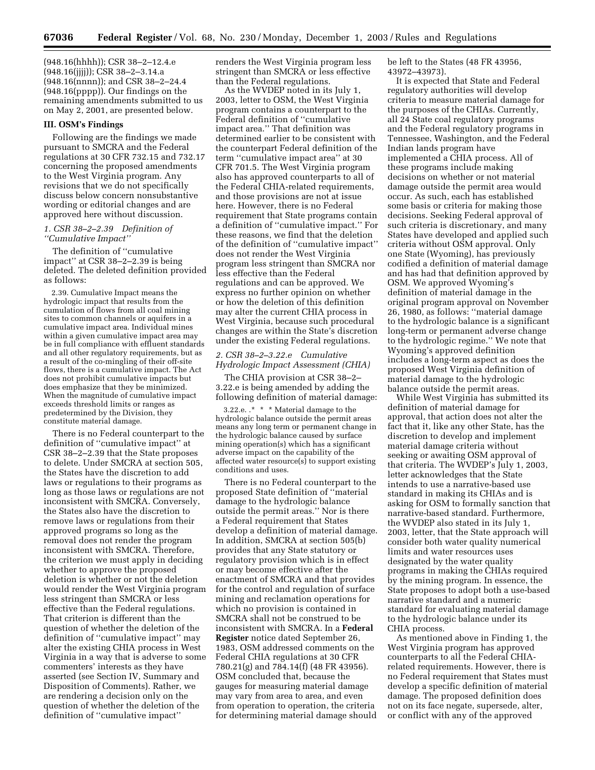(948.16(hhhh)); CSR 38–2–12.4.e (948.16(jjjj)); CSR 38–2–3.14.a (948.16(nnnn)); and CSR 38–2–24.4 (948.16(pppp)). Our findings on the remaining amendments submitted to us on May 2, 2001, are presented below.

#### **III. OSM's Findings**

Following are the findings we made pursuant to SMCRA and the Federal regulations at 30 CFR 732.15 and 732.17 concerning the proposed amendments to the West Virginia program. Any revisions that we do not specifically discuss below concern nonsubstantive wording or editorial changes and are approved here without discussion.

# *1. CSR 38–2–2.39 Definition of ''Cumulative Impact''*

The definition of ''cumulative impact'' at CSR 38–2–2.39 is being deleted. The deleted definition provided as follows:

2.39. Cumulative Impact means the hydrologic impact that results from the cumulation of flows from all coal mining sites to common channels or aquifers in a cumulative impact area. Individual mines within a given cumulative impact area may be in full compliance with effluent standards and all other regulatory requirements, but as a result of the co-mingling of their off-site flows, there is a cumulative impact. The Act does not prohibit cumulative impacts but does emphasize that they be minimized. When the magnitude of cumulative impact exceeds threshold limits or ranges as predetermined by the Division, they constitute material damage.

There is no Federal counterpart to the definition of ''cumulative impact'' at CSR 38–2–2.39 that the State proposes to delete. Under SMCRA at section 505, the States have the discretion to add laws or regulations to their programs as long as those laws or regulations are not inconsistent with SMCRA. Conversely, the States also have the discretion to remove laws or regulations from their approved programs so long as the removal does not render the program inconsistent with SMCRA. Therefore, the criterion we must apply in deciding whether to approve the proposed deletion is whether or not the deletion would render the West Virginia program less stringent than SMCRA or less effective than the Federal regulations. That criterion is different than the question of whether the deletion of the definition of ''cumulative impact'' may alter the existing CHIA process in West Virginia in a way that is adverse to some commenters' interests as they have asserted (see Section IV, Summary and Disposition of Comments). Rather, we are rendering a decision only on the question of whether the deletion of the definition of ''cumulative impact''

renders the West Virginia program less stringent than SMCRA or less effective than the Federal regulations.

As the WVDEP noted in its July 1, 2003, letter to OSM, the West Virginia program contains a counterpart to the Federal definition of ''cumulative impact area.'' That definition was determined earlier to be consistent with the counterpart Federal definition of the term ''cumulative impact area'' at 30 CFR 701.5. The West Virginia program also has approved counterparts to all of the Federal CHIA-related requirements, and those provisions are not at issue here. However, there is no Federal requirement that State programs contain a definition of ''cumulative impact.'' For these reasons, we find that the deletion of the definition of ''cumulative impact'' does not render the West Virginia program less stringent than SMCRA nor less effective than the Federal regulations and can be approved. We express no further opinion on whether or how the deletion of this definition may alter the current CHIA process in West Virginia, because such procedural changes are within the State's discretion under the existing Federal regulations.

## *2. CSR 38–2–3.22.e Cumulative Hydrologic Impact Assessment (CHIA)*

The CHIA provision at CSR 38–2– 3.22.e is being amended by adding the following definition of material damage:

3.22.e. .\* \* \* Material damage to the hydrologic balance outside the permit areas means any long term or permanent change in the hydrologic balance caused by surface mining operation(s) which has a significant adverse impact on the capability of the affected water resource(s) to support existing conditions and uses.

There is no Federal counterpart to the proposed State definition of ''material damage to the hydrologic balance outside the permit areas.'' Nor is there a Federal requirement that States develop a definition of material damage. In addition, SMCRA at section 505(b) provides that any State statutory or regulatory provision which is in effect or may become effective after the enactment of SMCRA and that provides for the control and regulation of surface mining and reclamation operations for which no provision is contained in SMCRA shall not be construed to be inconsistent with SMCRA. In a **Federal Register** notice dated September 26, 1983, OSM addressed comments on the Federal CHIA regulations at 30 CFR 780.21(g) and 784.14(f) (48 FR 43956). OSM concluded that, because the gauges for measuring material damage may vary from area to area, and even from operation to operation, the criteria for determining material damage should

be left to the States (48 FR 43956, 43972–43973).

It is expected that State and Federal regulatory authorities will develop criteria to measure material damage for the purposes of the CHIAs. Currently, all 24 State coal regulatory programs and the Federal regulatory programs in Tennessee, Washington, and the Federal Indian lands program have implemented a CHIA process. All of these programs include making decisions on whether or not material damage outside the permit area would occur. As such, each has established some basis or criteria for making those decisions. Seeking Federal approval of such criteria is discretionary, and many States have developed and applied such criteria without OSM approval. Only one State (Wyoming), has previously codified a definition of material damage and has had that definition approved by OSM. We approved Wyoming's definition of material damage in the original program approval on November 26, 1980, as follows: ''material damage to the hydrologic balance is a significant long-term or permanent adverse change to the hydrologic regime.'' We note that Wyoming's approved definition includes a long-term aspect as does the proposed West Virginia definition of material damage to the hydrologic balance outside the permit areas.

While West Virginia has submitted its definition of material damage for approval, that action does not alter the fact that it, like any other State, has the discretion to develop and implement material damage criteria without seeking or awaiting OSM approval of that criteria. The WVDEP's July 1, 2003, letter acknowledges that the State intends to use a narrative-based use standard in making its CHIAs and is asking for OSM to formally sanction that narrative-based standard. Furthermore, the WVDEP also stated in its July 1, 2003, letter, that the State approach will consider both water quality numerical limits and water resources uses designated by the water quality programs in making the CHIAs required by the mining program. In essence, the State proposes to adopt both a use-based narrative standard and a numeric standard for evaluating material damage to the hydrologic balance under its CHIA process.

As mentioned above in Finding 1, the West Virginia program has approved counterparts to all the Federal CHIArelated requirements. However, there is no Federal requirement that States must develop a specific definition of material damage. The proposed definition does not on its face negate, supersede, alter, or conflict with any of the approved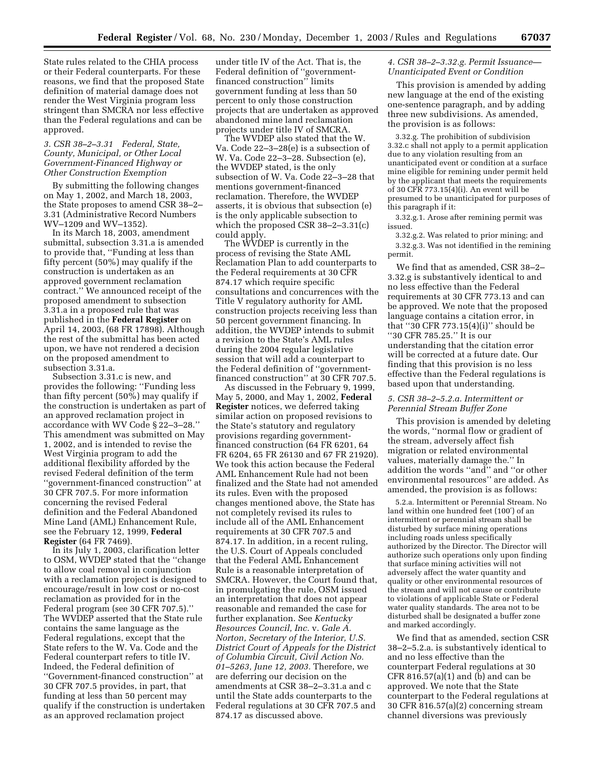State rules related to the CHIA process or their Federal counterparts. For these reasons, we find that the proposed State definition of material damage does not render the West Virginia program less stringent than SMCRA nor less effective than the Federal regulations and can be approved.

## *3. CSR 38–2–3.31 Federal, State, County, Municipal, or Other Local Government-Financed Highway or Other Construction Exemption*

By submitting the following changes on May 1, 2002, and March 18, 2003, the State proposes to amend CSR 38–2– 3.31 (Administrative Record Numbers WV–1209 and WV–1352).

In its March 18, 2003, amendment submittal, subsection 3.31.a is amended to provide that, ''Funding at less than fifty percent (50%) may qualify if the construction is undertaken as an approved government reclamation contract.'' We announced receipt of the proposed amendment to subsection 3.31.a in a proposed rule that was published in the **Federal Register** on April 14, 2003, (68 FR 17898). Although the rest of the submittal has been acted upon, we have not rendered a decision on the proposed amendment to subsection 3.31.a.

Subsection 3.31.c is new, and provides the following: ''Funding less than fifty percent (50%) may qualify if the construction is undertaken as part of an approved reclamation project in accordance with WV Code § 22–3–28.'' This amendment was submitted on May 1, 2002, and is intended to revise the West Virginia program to add the additional flexibility afforded by the revised Federal definition of the term ''government-financed construction'' at 30 CFR 707.5. For more information concerning the revised Federal definition and the Federal Abandoned Mine Land (AML) Enhancement Rule, see the February 12, 1999, **Federal Register** (64 FR 7469).

In its July 1, 2003, clarification letter to OSM, WVDEP stated that the ''change to allow coal removal in conjunction with a reclamation project is designed to encourage/result in low cost or no-cost reclamation as provided for in the Federal program (see 30 CFR 707.5).'' The WVDEP asserted that the State rule contains the same language as the Federal regulations, except that the State refers to the W. Va. Code and the Federal counterpart refers to title IV. Indeed, the Federal definition of ''Government-financed construction'' at 30 CFR 707.5 provides, in part, that funding at less than 50 percent may qualify if the construction is undertaken as an approved reclamation project

under title IV of the Act. That is, the Federal definition of ''governmentfinanced construction'' limits government funding at less than 50 percent to only those construction projects that are undertaken as approved abandoned mine land reclamation projects under title IV of SMCRA.

The WVDEP also stated that the W. Va. Code 22–3–28(e) is a subsection of W. Va. Code 22–3–28. Subsection (e), the WVDEP stated, is the only subsection of W. Va. Code 22–3–28 that mentions government-financed reclamation. Therefore, the WVDEP asserts, it is obvious that subsection (e) is the only applicable subsection to which the proposed CSR 38–2–3.31(c) could apply.

The WVDEP is currently in the process of revising the State AML Reclamation Plan to add counterparts to the Federal requirements at 30 CFR 874.17 which require specific consultations and concurrences with the Title V regulatory authority for AML construction projects receiving less than 50 percent government financing. In addition, the WVDEP intends to submit a revision to the State's AML rules during the 2004 regular legislative session that will add a counterpart to the Federal definition of ''governmentfinanced construction'' at 30 CFR 707.5.

As discussed in the February 9, 1999, May 5, 2000, and May 1, 2002, **Federal Register** notices, we deferred taking similar action on proposed revisions to the State's statutory and regulatory provisions regarding governmentfinanced construction (64 FR 6201, 64 FR 6204, 65 FR 26130 and 67 FR 21920). We took this action because the Federal AML Enhancement Rule had not been finalized and the State had not amended its rules. Even with the proposed changes mentioned above, the State has not completely revised its rules to include all of the AML Enhancement requirements at 30 CFR 707.5 and 874.17. In addition, in a recent ruling, the U.S. Court of Appeals concluded that the Federal AML Enhancement Rule is a reasonable interpretation of SMCRA. However, the Court found that, in promulgating the rule, OSM issued an interpretation that does not appear reasonable and remanded the case for further explanation. See *Kentucky Resources Council, Inc.* v. *Gale A. Norton, Secretary of the Interior, U.S. District Court of Appeals for the District of Columbia Circuit, Civil Action No. 01–5263, June 12, 2003.* Therefore, we are deferring our decision on the amendments at CSR 38–2–3.31.a and c until the State adds counterparts to the Federal regulations at 30 CFR 707.5 and 874.17 as discussed above.

## *4. CSR 38–2–3.32.g. Permit Issuance— Unanticipated Event or Condition*

This provision is amended by adding new language at the end of the existing one-sentence paragraph, and by adding three new subdivisions. As amended, the provision is as follows:

3.32.g. The prohibition of subdivision 3.32.c shall not apply to a permit application due to any violation resulting from an unanticipated event or condition at a surface mine eligible for remining under permit held by the applicant that meets the requirements of 30 CFR 773.15(4)(i). An event will be presumed to be unanticipated for purposes of this paragraph if it:

3.32.g.1. Arose after remining permit was issued.

3.32.g.2. Was related to prior mining; and 3.32.g.3. Was not identified in the remining permit.

We find that as amended, CSR 38–2– 3.32.g is substantively identical to and no less effective than the Federal requirements at 30 CFR 773.13 and can be approved. We note that the proposed language contains a citation error, in that ''30 CFR 773.15(4)(i)'' should be ''30 CFR 785.25.'' It is our understanding that the citation error will be corrected at a future date. Our finding that this provision is no less effective than the Federal regulations is based upon that understanding.

### *5. CSR 38–2–5.2.a. Intermittent or Perennial Stream Buffer Zone*

This provision is amended by deleting the words, ''normal flow or gradient of the stream, adversely affect fish migration or related environmental values, materially damage the.'' In addition the words ''and'' and ''or other environmental resources'' are added. As amended, the provision is as follows:

5.2.a. Intermittent or Perennial Stream. No land within one hundred feet (100′) of an intermittent or perennial stream shall be disturbed by surface mining operations including roads unless specifically authorized by the Director. The Director will authorize such operations only upon finding that surface mining activities will not adversely affect the water quantity and quality or other environmental resources of the stream and will not cause or contribute to violations of applicable State or Federal water quality standards. The area not to be disturbed shall be designated a buffer zone and marked accordingly.

We find that as amended, section CSR 38–2–5.2.a. is substantively identical to and no less effective than the counterpart Federal regulations at 30 CFR 816.57(a)(1) and (b) and can be approved. We note that the State counterpart to the Federal regulations at 30 CFR 816.57(a)(2) concerning stream channel diversions was previously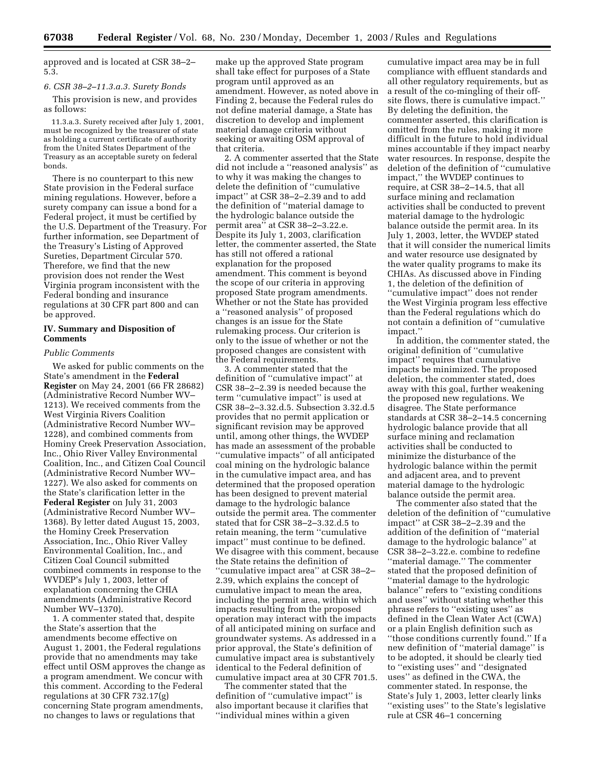approved and is located at CSR 38–2– 5.3.

#### *6. CSR 38–2–11.3.a.3. Surety Bonds*

This provision is new, and provides as follows:

11.3.a.3. Surety received after July 1, 2001, must be recognized by the treasurer of state as holding a current certificate of authority from the United States Department of the Treasury as an acceptable surety on federal bonds.

There is no counterpart to this new State provision in the Federal surface mining regulations. However, before a surety company can issue a bond for a Federal project, it must be certified by the U.S. Department of the Treasury. For further information, see Department of the Treasury's Listing of Approved Sureties, Department Circular 570. Therefore, we find that the new provision does not render the West Virginia program inconsistent with the Federal bonding and insurance regulations at 30 CFR part 800 and can be approved.

# **IV. Summary and Disposition of Comments**

#### *Public Comments*

We asked for public comments on the State's amendment in the **Federal Register** on May 24, 2001 (66 FR 28682) (Administrative Record Number WV– 1213). We received comments from the West Virginia Rivers Coalition (Administrative Record Number WV– 1228), and combined comments from Hominy Creek Preservation Association, Inc., Ohio River Valley Environmental Coalition, Inc., and Citizen Coal Council (Administrative Record Number WV– 1227). We also asked for comments on the State's clarification letter in the **Federal Register** on July 31, 2003 (Administrative Record Number WV– 1368). By letter dated August 15, 2003, the Hominy Creek Preservation Association, Inc., Ohio River Valley Environmental Coalition, Inc., and Citizen Coal Council submitted combined comments in response to the WVDEP's July 1, 2003, letter of explanation concerning the CHIA amendments (Administrative Record Number WV–1370).

1. A commenter stated that, despite the State's assertion that the amendments become effective on August 1, 2001, the Federal regulations provide that no amendments may take effect until OSM approves the change as a program amendment. We concur with this comment. According to the Federal regulations at 30 CFR 732.17(g) concerning State program amendments, no changes to laws or regulations that

make up the approved State program shall take effect for purposes of a State program until approved as an amendment. However, as noted above in Finding 2, because the Federal rules do not define material damage, a State has discretion to develop and implement material damage criteria without seeking or awaiting OSM approval of that criteria.

2. A commenter asserted that the State did not include a ''reasoned analysis'' as to why it was making the changes to delete the definition of ''cumulative impact'' at CSR 38–2–2.39 and to add the definition of ''material damage to the hydrologic balance outside the permit area'' at CSR 38–2–3.22.e. Despite its July 1, 2003, clarification letter, the commenter asserted, the State has still not offered a rational explanation for the proposed amendment. This comment is beyond the scope of our criteria in approving proposed State program amendments. Whether or not the State has provided a ''reasoned analysis'' of proposed changes is an issue for the State rulemaking process. Our criterion is only to the issue of whether or not the proposed changes are consistent with the Federal requirements.

3. A commenter stated that the definition of ''cumulative impact'' at CSR 38–2–2.39 is needed because the term ''cumulative impact'' is used at CSR 38–2–3.32.d.5. Subsection 3.32.d.5 provides that no permit application or significant revision may be approved until, among other things, the WVDEP has made an assessment of the probable ''cumulative impacts'' of all anticipated coal mining on the hydrologic balance in the cumulative impact area, and has determined that the proposed operation has been designed to prevent material damage to the hydrologic balance outside the permit area. The commenter stated that for CSR 38–2–3.32.d.5 to retain meaning, the term ''cumulative impact'' must continue to be defined. We disagree with this comment, because the State retains the definition of ''cumulative impact area'' at CSR 38–2– 2.39, which explains the concept of cumulative impact to mean the area, including the permit area, within which impacts resulting from the proposed operation may interact with the impacts of all anticipated mining on surface and groundwater systems. As addressed in a prior approval, the State's definition of cumulative impact area is substantively identical to the Federal definition of cumulative impact area at 30 CFR 701.5.

The commenter stated that the definition of ''cumulative impact'' is also important because it clarifies that ''individual mines within a given

cumulative impact area may be in full compliance with effluent standards and all other regulatory requirements, but as a result of the co-mingling of their offsite flows, there is cumulative impact.'' By deleting the definition, the commenter asserted, this clarification is omitted from the rules, making it more difficult in the future to hold individual mines accountable if they impact nearby water resources. In response, despite the deletion of the definition of ''cumulative impact,'' the WVDEP continues to require, at CSR 38–2–14.5, that all surface mining and reclamation activities shall be conducted to prevent material damage to the hydrologic balance outside the permit area. In its July 1, 2003, letter, the WVDEP stated that it will consider the numerical limits and water resource use designated by the water quality programs to make its CHIAs. As discussed above in Finding 1, the deletion of the definition of ''cumulative impact'' does not render the West Virginia program less effective than the Federal regulations which do not contain a definition of ''cumulative impact.''

In addition, the commenter stated, the original definition of ''cumulative impact'' requires that cumulative impacts be minimized. The proposed deletion, the commenter stated, does away with this goal, further weakening the proposed new regulations. We disagree. The State performance standards at CSR 38–2–14.5 concerning hydrologic balance provide that all surface mining and reclamation activities shall be conducted to minimize the disturbance of the hydrologic balance within the permit and adjacent area, and to prevent material damage to the hydrologic balance outside the permit area.

The commenter also stated that the deletion of the definition of ''cumulative impact'' at CSR 38–2–2.39 and the addition of the definition of ''material damage to the hydrologic balance'' at CSR 38–2–3.22.e. combine to redefine ''material damage.'' The commenter stated that the proposed definition of ''material damage to the hydrologic balance'' refers to ''existing conditions and uses'' without stating whether this phrase refers to ''existing uses'' as defined in the Clean Water Act (CWA) or a plain English definition such as ''those conditions currently found.'' If a new definition of ''material damage'' is to be adopted, it should be clearly tied to ''existing uses'' and ''designated uses'' as defined in the CWA, the commenter stated. In response, the State's July 1, 2003, letter clearly links ''existing uses'' to the State's legislative rule at CSR 46–1 concerning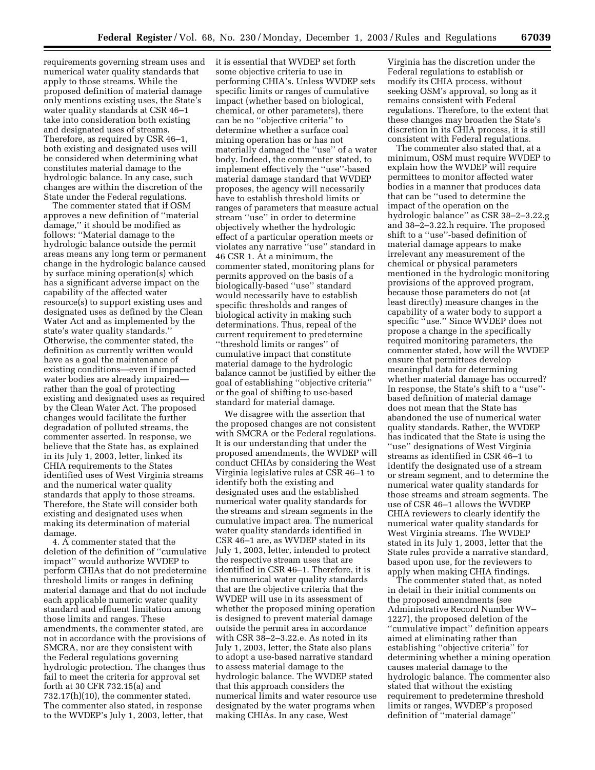requirements governing stream uses and numerical water quality standards that apply to those streams. While the proposed definition of material damage only mentions existing uses, the State's water quality standards at CSR 46–1 take into consideration both existing and designated uses of streams. Therefore, as required by CSR 46–1, both existing and designated uses will be considered when determining what constitutes material damage to the hydrologic balance. In any case, such changes are within the discretion of the State under the Federal regulations.

The commenter stated that if OSM approves a new definition of ''material damage,'' it should be modified as follows: ''Material damage to the hydrologic balance outside the permit areas means any long term or permanent change in the hydrologic balance caused by surface mining operation(s) which has a significant adverse impact on the capability of the affected water resource(s) to support existing uses and designated uses as defined by the Clean Water Act and as implemented by the state's water quality standards.'' Otherwise, the commenter stated, the definition as currently written would have as a goal the maintenance of existing conditions—even if impacted water bodies are already impaired rather than the goal of protecting existing and designated uses as required by the Clean Water Act. The proposed changes would facilitate the further degradation of polluted streams, the commenter asserted. In response, we believe that the State has, as explained in its July 1, 2003, letter, linked its CHIA requirements to the States identified uses of West Virginia streams and the numerical water quality standards that apply to those streams. Therefore, the State will consider both existing and designated uses when making its determination of material damage.

4. A commenter stated that the deletion of the definition of ''cumulative impact'' would authorize WVDEP to perform CHIAs that do not predetermine threshold limits or ranges in defining material damage and that do not include each applicable numeric water quality standard and effluent limitation among those limits and ranges. These amendments, the commenter stated, are not in accordance with the provisions of SMCRA, nor are they consistent with the Federal regulations governing hydrologic protection. The changes thus fail to meet the criteria for approval set forth at 30 CFR 732.15(a) and 732.17(h)(10), the commenter stated. The commenter also stated, in response to the WVDEP's July 1, 2003, letter, that

it is essential that WVDEP set forth some objective criteria to use in performing CHIA's. Unless WVDEP sets specific limits or ranges of cumulative impact (whether based on biological, chemical, or other parameters), there can be no ''objective criteria'' to determine whether a surface coal mining operation has or has not materially damaged the ''use'' of a water body. Indeed, the commenter stated, to implement effectively the ''use''-based material damage standard that WVDEP proposes, the agency will necessarily have to establish threshold limits or ranges of parameters that measure actual stream ''use'' in order to determine objectively whether the hydrologic effect of a particular operation meets or violates any narrative ''use'' standard in 46 CSR 1. At a minimum, the commenter stated, monitoring plans for permits approved on the basis of a biologically-based ''use'' standard would necessarily have to establish specific thresholds and ranges of biological activity in making such determinations. Thus, repeal of the current requirement to predetermine ''threshold limits or ranges'' of cumulative impact that constitute material damage to the hydrologic balance cannot be justified by either the goal of establishing ''objective criteria'' or the goal of shifting to use-based standard for material damage.

We disagree with the assertion that the proposed changes are not consistent with SMCRA or the Federal regulations. It is our understanding that under the proposed amendments, the WVDEP will conduct CHIAs by considering the West Virginia legislative rules at CSR 46–1 to identify both the existing and designated uses and the established numerical water quality standards for the streams and stream segments in the cumulative impact area. The numerical water quality standards identified in CSR 46–1 are, as WVDEP stated in its July 1, 2003, letter, intended to protect the respective stream uses that are identified in CSR 46–1. Therefore, it is the numerical water quality standards that are the objective criteria that the WVDEP will use in its assessment of whether the proposed mining operation is designed to prevent material damage outside the permit area in accordance with CSR 38–2–3.22.e. As noted in its July 1, 2003, letter, the State also plans to adopt a use-based narrative standard to assess material damage to the hydrologic balance. The WVDEP stated that this approach considers the numerical limits and water resource use designated by the water programs when making CHIAs. In any case, West

Virginia has the discretion under the Federal regulations to establish or modify its CHIA process, without seeking OSM's approval, so long as it remains consistent with Federal regulations. Therefore, to the extent that these changes may broaden the State's discretion in its CHIA process, it is still consistent with Federal regulations.

The commenter also stated that, at a minimum, OSM must require WVDEP to explain how the WVDEP will require permittees to monitor affected water bodies in a manner that produces data that can be ''used to determine the impact of the operation on the hydrologic balance'' as CSR 38–2–3.22.g and 38–2–3.22.h require. The proposed shift to a ''use''-based definition of material damage appears to make irrelevant any measurement of the chemical or physical parameters mentioned in the hydrologic monitoring provisions of the approved program, because those parameters do not (at least directly) measure changes in the capability of a water body to support a specific ''use.'' Since WVDEP does not propose a change in the specifically required monitoring parameters, the commenter stated, how will the WVDEP ensure that permittees develop meaningful data for determining whether material damage has occurred? In response, the State's shift to a ''use'' based definition of material damage does not mean that the State has abandoned the use of numerical water quality standards. Rather, the WVDEP has indicated that the State is using the ''use'' designations of West Virginia streams as identified in CSR 46–1 to identify the designated use of a stream or stream segment, and to determine the numerical water quality standards for those streams and stream segments. The use of CSR 46–1 allows the WVDEP CHIA reviewers to clearly identify the numerical water quality standards for West Virginia streams. The WVDEP stated in its July 1, 2003, letter that the State rules provide a narrative standard, based upon use, for the reviewers to apply when making CHIA findings.

The commenter stated that, as noted in detail in their initial comments on the proposed amendments (see Administrative Record Number WV– 1227), the proposed deletion of the ''cumulative impact'' definition appears aimed at eliminating rather than establishing ''objective criteria'' for determining whether a mining operation causes material damage to the hydrologic balance. The commenter also stated that without the existing requirement to predetermine threshold limits or ranges, WVDEP's proposed definition of ''material damage''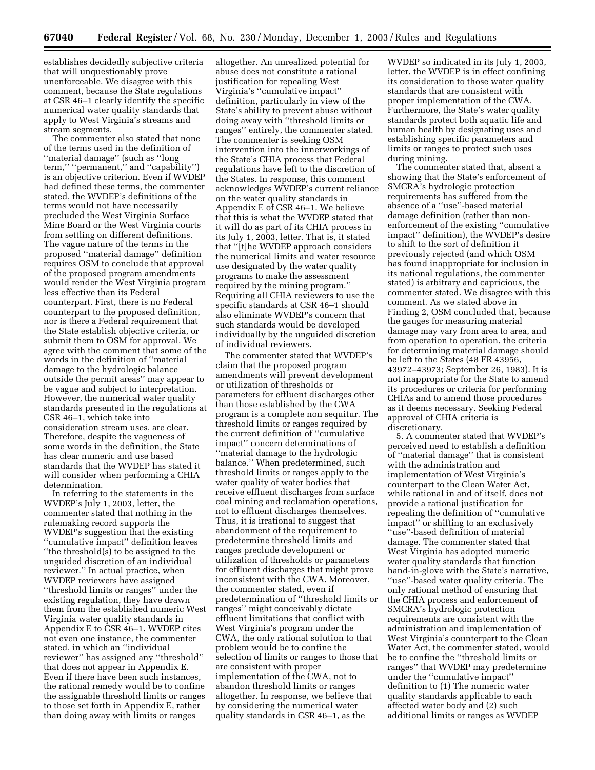establishes decidedly subjective criteria that will unquestionably prove unenforceable. We disagree with this comment, because the State regulations at CSR 46–1 clearly identify the specific numerical water quality standards that apply to West Virginia's streams and stream segments.

The commenter also stated that none of the terms used in the definition of ''material damage'' (such as ''long term," "permanent," and "capability") is an objective criterion. Even if WVDEP had defined these terms, the commenter stated, the WVDEP's definitions of the terms would not have necessarily precluded the West Virginia Surface Mine Board or the West Virginia courts from settling on different definitions. The vague nature of the terms in the proposed ''material damage'' definition requires OSM to conclude that approval of the proposed program amendments would render the West Virginia program less effective than its Federal counterpart. First, there is no Federal counterpart to the proposed definition, nor is there a Federal requirement that the State establish objective criteria, or submit them to OSM for approval. We agree with the comment that some of the words in the definition of ''material damage to the hydrologic balance outside the permit areas'' may appear to be vague and subject to interpretation. However, the numerical water quality standards presented in the regulations at CSR 46–1, which take into consideration stream uses, are clear. Therefore, despite the vagueness of some words in the definition, the State has clear numeric and use based standards that the WVDEP has stated it will consider when performing a CHIA determination.

In referring to the statements in the WVDEP's July 1, 2003, letter, the commenter stated that nothing in the rulemaking record supports the WVDEP's suggestion that the existing ''cumulative impact'' definition leaves ''the threshold(s) to be assigned to the unguided discretion of an individual reviewer.'' In actual practice, when WVDEP reviewers have assigned ''threshold limits or ranges'' under the existing regulation, they have drawn them from the established numeric West Virginia water quality standards in Appendix E to CSR 46–1. WVDEP cites not even one instance, the commenter stated, in which an ''individual reviewer'' has assigned any ''threshold'' that does not appear in Appendix E. Even if there have been such instances, the rational remedy would be to confine the assignable threshold limits or ranges to those set forth in Appendix E, rather than doing away with limits or ranges

altogether. An unrealized potential for abuse does not constitute a rational justification for repealing West Virginia's ''cumulative impact'' definition, particularly in view of the State's ability to prevent abuse without doing away with ''threshold limits or ranges'' entirely, the commenter stated. The commenter is seeking OSM intervention into the innerworkings of the State's CHIA process that Federal regulations have left to the discretion of the States. In response, this comment acknowledges WVDEP's current reliance on the water quality standards in Appendix E of CSR 46–1. We believe that this is what the WVDEP stated that it will do as part of its CHIA process in its July 1, 2003, letter. That is, it stated that ''[t]he WVDEP approach considers the numerical limits and water resource use designated by the water quality programs to make the assessment required by the mining program.'' Requiring all CHIA reviewers to use the specific standards at CSR 46–1 should also eliminate WVDEP's concern that such standards would be developed individually by the unguided discretion of individual reviewers.

The commenter stated that WVDEP's claim that the proposed program amendments will prevent development or utilization of thresholds or parameters for effluent discharges other than those established by the CWA program is a complete non sequitur. The threshold limits or ranges required by the current definition of ''cumulative impact'' concern determinations of ''material damage to the hydrologic balance.'' When predetermined, such threshold limits or ranges apply to the water quality of water bodies that receive effluent discharges from surface coal mining and reclamation operations, not to effluent discharges themselves. Thus, it is irrational to suggest that abandonment of the requirement to predetermine threshold limits and ranges preclude development or utilization of thresholds or parameters for effluent discharges that might prove inconsistent with the CWA. Moreover, the commenter stated, even if predetermination of ''threshold limits or ranges'' might conceivably dictate effluent limitations that conflict with West Virginia's program under the CWA, the only rational solution to that problem would be to confine the selection of limits or ranges to those that are consistent with proper implementation of the CWA, not to abandon threshold limits or ranges altogether. In response, we believe that by considering the numerical water quality standards in CSR 46–1, as the

WVDEP so indicated in its July 1, 2003, letter, the WVDEP is in effect confining its consideration to those water quality standards that are consistent with proper implementation of the CWA. Furthermore, the State's water quality standards protect both aquatic life and human health by designating uses and establishing specific parameters and limits or ranges to protect such uses during mining.

The commenter stated that, absent a showing that the State's enforcement of SMCRA's hydrologic protection requirements has suffered from the absence of a ''use''-based material damage definition (rather than nonenforcement of the existing ''cumulative impact'' definition), the WVDEP's desire to shift to the sort of definition it previously rejected (and which OSM has found inappropriate for inclusion in its national regulations, the commenter stated) is arbitrary and capricious, the commenter stated. We disagree with this comment. As we stated above in Finding 2, OSM concluded that, because the gauges for measuring material damage may vary from area to area, and from operation to operation, the criteria for determining material damage should be left to the States (48 FR 43956, 43972–43973; September 26, 1983). It is not inappropriate for the State to amend its procedures or criteria for performing CHIAs and to amend those procedures as it deems necessary. Seeking Federal approval of CHIA criteria is discretionary.

5. A commenter stated that WVDEP's perceived need to establish a definition of ''material damage'' that is consistent with the administration and implementation of West Virginia's counterpart to the Clean Water Act, while rational in and of itself, does not provide a rational justification for repealing the definition of ''cumulative impact'' or shifting to an exclusively ''use''-based definition of material damage. The commenter stated that West Virginia has adopted numeric water quality standards that function hand-in-glove with the State's narrative, ''use''-based water quality criteria. The only rational method of ensuring that the CHIA process and enforcement of SMCRA's hydrologic protection requirements are consistent with the administration and implementation of West Virginia's counterpart to the Clean Water Act, the commenter stated, would be to confine the ''threshold limits or ranges'' that WVDEP may predetermine under the ''cumulative impact'' definition to (1) The numeric water quality standards applicable to each affected water body and (2) such additional limits or ranges as WVDEP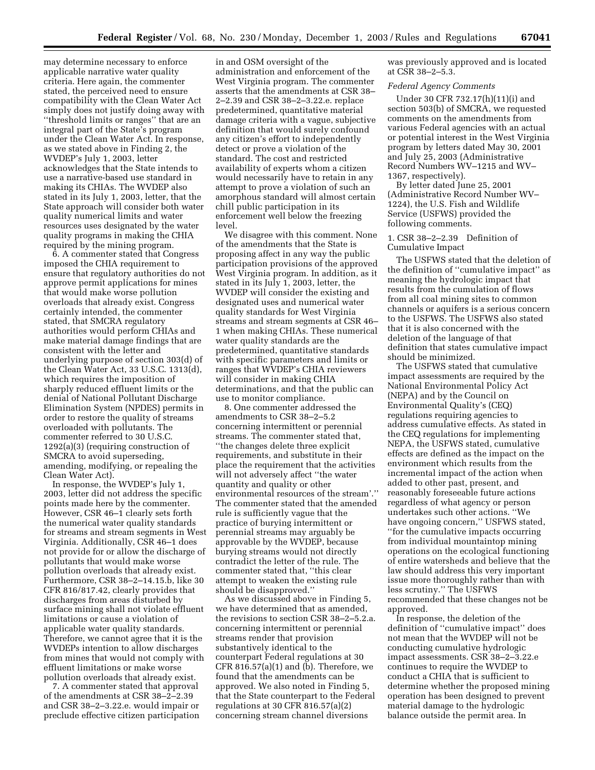may determine necessary to enforce applicable narrative water quality criteria. Here again, the commenter stated, the perceived need to ensure compatibility with the Clean Water Act simply does not justify doing away with ''threshold limits or ranges'' that are an integral part of the State's program under the Clean Water Act. In response, as we stated above in Finding 2, the WVDEP's July 1, 2003, letter acknowledges that the State intends to use a narrative-based use standard in making its CHIAs. The WVDEP also stated in its July 1, 2003, letter, that the State approach will consider both water quality numerical limits and water resources uses designated by the water quality programs in making the CHIA required by the mining program.

6. A commenter stated that Congress imposed the CHIA requirement to ensure that regulatory authorities do not approve permit applications for mines that would make worse pollution overloads that already exist. Congress certainly intended, the commenter stated, that SMCRA regulatory authorities would perform CHIAs and make material damage findings that are consistent with the letter and underlying purpose of section 303(d) of the Clean Water Act, 33 U.S.C. 1313(d), which requires the imposition of sharply reduced effluent limits or the denial of National Pollutant Discharge Elimination System (NPDES) permits in order to restore the quality of streams overloaded with pollutants. The commenter referred to 30 U.S.C. 1292(a)(3) (requiring construction of SMCRA to avoid superseding, amending, modifying, or repealing the Clean Water Act).

In response, the WVDEP's July 1, 2003, letter did not address the specific points made here by the commenter. However, CSR 46–1 clearly sets forth the numerical water quality standards for streams and stream segments in West Virginia. Additionally, CSR 46–1 does not provide for or allow the discharge of pollutants that would make worse pollution overloads that already exist. Furthermore, CSR 38–2–14.15.b, like 30 CFR 816/817.42, clearly provides that discharges from areas disturbed by surface mining shall not violate effluent limitations or cause a violation of applicable water quality standards. Therefore, we cannot agree that it is the WVDEPs intention to allow discharges from mines that would not comply with effluent limitations or make worse pollution overloads that already exist.

7. A commenter stated that approval of the amendments at CSR 38–2–2.39 and CSR 38–2–3.22.e. would impair or preclude effective citizen participation

in and OSM oversight of the administration and enforcement of the West Virginia program. The commenter asserts that the amendments at CSR 38– 2–2.39 and CSR 38–2–3.22.e. replace predetermined, quantitative material damage criteria with a vague, subjective definition that would surely confound any citizen's effort to independently detect or prove a violation of the standard. The cost and restricted availability of experts whom a citizen would necessarily have to retain in any attempt to prove a violation of such an amorphous standard will almost certain chill public participation in its enforcement well below the freezing level.

We disagree with this comment. None of the amendments that the State is proposing affect in any way the public participation provisions of the approved West Virginia program. In addition, as it stated in its July 1, 2003, letter, the WVDEP will consider the existing and designated uses and numerical water quality standards for West Virginia streams and stream segments at CSR 46– 1 when making CHIAs. These numerical water quality standards are the predetermined, quantitative standards with specific parameters and limits or ranges that WVDEP's CHIA reviewers will consider in making CHIA determinations, and that the public can use to monitor compliance.

8. One commenter addressed the amendments to CSR 38–2–5.2 concerning intermittent or perennial streams. The commenter stated that, ''the changes delete three explicit requirements, and substitute in their place the requirement that the activities will not adversely affect ''the water quantity and quality or other environmental resources of the stream'.'' The commenter stated that the amended rule is sufficiently vague that the practice of burying intermittent or perennial streams may arguably be approvable by the WVDEP, because burying streams would not directly contradict the letter of the rule. The commenter stated that, ''this clear attempt to weaken the existing rule should be disapproved.''

As we discussed above in Finding 5, we have determined that as amended, the revisions to section CSR 38–2–5.2.a. concerning intermittent or perennial streams render that provision substantively identical to the counterpart Federal regulations at 30 CFR 816.57(a)(1) and  $(b)$ . Therefore, we found that the amendments can be approved. We also noted in Finding 5, that the State counterpart to the Federal regulations at 30 CFR 816.57(a)(2) concerning stream channel diversions

was previously approved and is located at CSR 38–2–5.3.

### *Federal Agency Comments*

Under 30 CFR 732.17(h)(11)(i) and section 503(b) of SMCRA, we requested comments on the amendments from various Federal agencies with an actual or potential interest in the West Virginia program by letters dated May 30, 2001 and July 25, 2003 (Administrative Record Numbers WV–1215 and WV– 1367, respectively).

By letter dated June 25, 2001 (Administrative Record Number WV– 1224), the U.S. Fish and Wildlife Service (USFWS) provided the following comments.

#### 1. CSR 38–2–2.39 Definition of Cumulative Impact

The USFWS stated that the deletion of the definition of ''cumulative impact'' as meaning the hydrologic impact that results from the cumulation of flows from all coal mining sites to common channels or aquifers is a serious concern to the USFWS. The USFWS also stated that it is also concerned with the deletion of the language of that definition that states cumulative impact should be minimized.

The USFWS stated that cumulative impact assessments are required by the National Environmental Policy Act (NEPA) and by the Council on Environmental Quality's (CEQ) regulations requiring agencies to address cumulative effects. As stated in the CEQ regulations for implementing NEPA, the USFWS stated, cumulative effects are defined as the impact on the environment which results from the incremental impact of the action when added to other past, present, and reasonably foreseeable future actions regardless of what agency or person undertakes such other actions. ''We have ongoing concern,'' USFWS stated, ''for the cumulative impacts occurring from individual mountaintop mining operations on the ecological functioning of entire watersheds and believe that the law should address this very important issue more thoroughly rather than with less scrutiny.'' The USFWS recommended that these changes not be approved.

In response, the deletion of the definition of ''cumulative impact'' does not mean that the WVDEP will not be conducting cumulative hydrologic impact assessments. CSR 38–2–3.22.e continues to require the WVDEP to conduct a CHIA that is sufficient to determine whether the proposed mining operation has been designed to prevent material damage to the hydrologic balance outside the permit area. In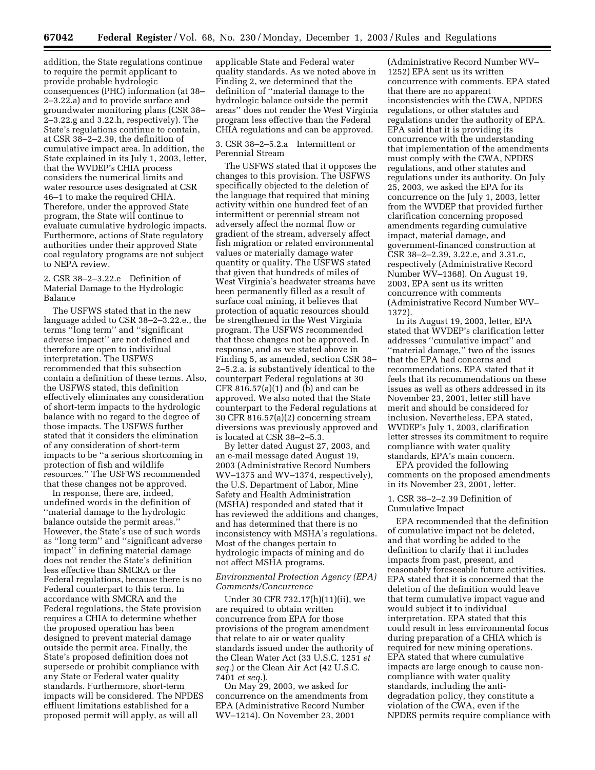addition, the State regulations continue to require the permit applicant to provide probable hydrologic consequences (PHC) information (at 38– 2–3.22.a) and to provide surface and groundwater monitoring plans (CSR 38– 2–3.22.g and 3.22.h, respectively). The State's regulations continue to contain, at CSR 38–2–2.39, the definition of cumulative impact area. In addition, the State explained in its July 1, 2003, letter, that the WVDEP's CHIA process considers the numerical limits and water resource uses designated at CSR 46–1 to make the required CHIA. Therefore, under the approved State program, the State will continue to evaluate cumulative hydrologic impacts. Furthermore, actions of State regulatory authorities under their approved State coal regulatory programs are not subject to NEPA review.

## 2. CSR 38–2–3.22.e Definition of Material Damage to the Hydrologic Balance

The USFWS stated that in the new language added to CSR 38–2–3.22.e., the terms ''long term'' and ''significant adverse impact'' are not defined and therefore are open to individual interpretation. The USFWS recommended that this subsection contain a definition of these terms. Also, the USFWS stated, this definition effectively eliminates any consideration of short-term impacts to the hydrologic balance with no regard to the degree of those impacts. The USFWS further stated that it considers the elimination of any consideration of short-term impacts to be ''a serious shortcoming in protection of fish and wildlife resources.'' The USFWS recommended that these changes not be approved.

In response, there are, indeed, undefined words in the definition of ''material damage to the hydrologic balance outside the permit areas.'' However, the State's use of such words as ''long term'' and ''significant adverse impact'' in defining material damage does not render the State's definition less effective than SMCRA or the Federal regulations, because there is no Federal counterpart to this term. In accordance with SMCRA and the Federal regulations, the State provision requires a CHIA to determine whether the proposed operation has been designed to prevent material damage outside the permit area. Finally, the State's proposed definition does not supersede or prohibit compliance with any State or Federal water quality standards. Furthermore, short-term impacts will be considered. The NPDES effluent limitations established for a proposed permit will apply, as will all

applicable State and Federal water quality standards. As we noted above in Finding 2, we determined that the definition of ''material damage to the hydrologic balance outside the permit areas'' does not render the West Virginia program less effective than the Federal CHIA regulations and can be approved.

## 3. CSR 38–2–5.2.a Intermittent or Perennial Stream

The USFWS stated that it opposes the changes to this provision. The USFWS specifically objected to the deletion of the language that required that mining activity within one hundred feet of an intermittent or perennial stream not adversely affect the normal flow or gradient of the stream, adversely affect fish migration or related environmental values or materially damage water quantity or quality. The USFWS stated that given that hundreds of miles of West Virginia's headwater streams have been permanently filled as a result of surface coal mining, it believes that protection of aquatic resources should be strengthened in the West Virginia program. The USFWS recommended that these changes not be approved. In response, and as we stated above in Finding 5, as amended, section CSR 38– 2–5.2.a. is substantively identical to the counterpart Federal regulations at 30 CFR 816.57(a)(1) and (b) and can be approved. We also noted that the State counterpart to the Federal regulations at 30 CFR 816.57(a)(2) concerning stream diversions was previously approved and is located at CSR 38–2–5.3.

By letter dated August 27, 2003, and an e-mail message dated August 19, 2003 (Administrative Record Numbers WV–1375 and WV–1374, respectively), the U.S. Department of Labor, Mine Safety and Health Administration (MSHA) responded and stated that it has reviewed the additions and changes, and has determined that there is no inconsistency with MSHA's regulations. Most of the changes pertain to hydrologic impacts of mining and do not affect MSHA programs.

## *Environmental Protection Agency (EPA) Comments/Concurrence*

Under 30 CFR 732.17(h)(11)(ii), we are required to obtain written concurrence from EPA for those provisions of the program amendment that relate to air or water quality standards issued under the authority of the Clean Water Act (33 U.S.C. 1251 *et seq.*) or the Clean Air Act (42 U.S.C. 7401 *et seq.*).

On May 29, 2003, we asked for concurrence on the amendments from EPA (Administrative Record Number WV–1214). On November 23, 2001

(Administrative Record Number WV– 1252) EPA sent us its written concurrence with comments. EPA stated that there are no apparent inconsistencies with the CWA, NPDES regulations, or other statutes and regulations under the authority of EPA. EPA said that it is providing its concurrence with the understanding that implementation of the amendments must comply with the CWA, NPDES regulations, and other statutes and regulations under its authority. On July 25, 2003, we asked the EPA for its concurrence on the July 1, 2003, letter from the WVDEP that provided further clarification concerning proposed amendments regarding cumulative impact, material damage, and government-financed construction at CSR 38–2–2.39, 3.22.e, and 3.31.c, respectively (Administrative Record Number WV–1368). On August 19, 2003, EPA sent us its written concurrence with comments (Administrative Record Number WV– 1372).

In its August 19, 2003, letter, EPA stated that WVDEP's clarification letter addresses ''cumulative impact'' and ''material damage,'' two of the issues that the EPA had concerns and recommendations. EPA stated that it feels that its recommendations on these issues as well as others addressed in its November 23, 2001, letter still have merit and should be considered for inclusion. Nevertheless, EPA stated, WVDEP's July 1, 2003, clarification letter stresses its commitment to require compliance with water quality standards, EPA's main concern.

EPA provided the following comments on the proposed amendments in its November 23, 2001, letter.

### 1. CSR 38–2–2.39 Definition of Cumulative Impact

EPA recommended that the definition of cumulative impact not be deleted, and that wording be added to the definition to clarify that it includes impacts from past, present, and reasonably foreseeable future activities. EPA stated that it is concerned that the deletion of the definition would leave that term cumulative impact vague and would subject it to individual interpretation. EPA stated that this could result in less environmental focus during preparation of a CHIA which is required for new mining operations. EPA stated that where cumulative impacts are large enough to cause noncompliance with water quality standards, including the antidegradation policy, they constitute a violation of the CWA, even if the NPDES permits require compliance with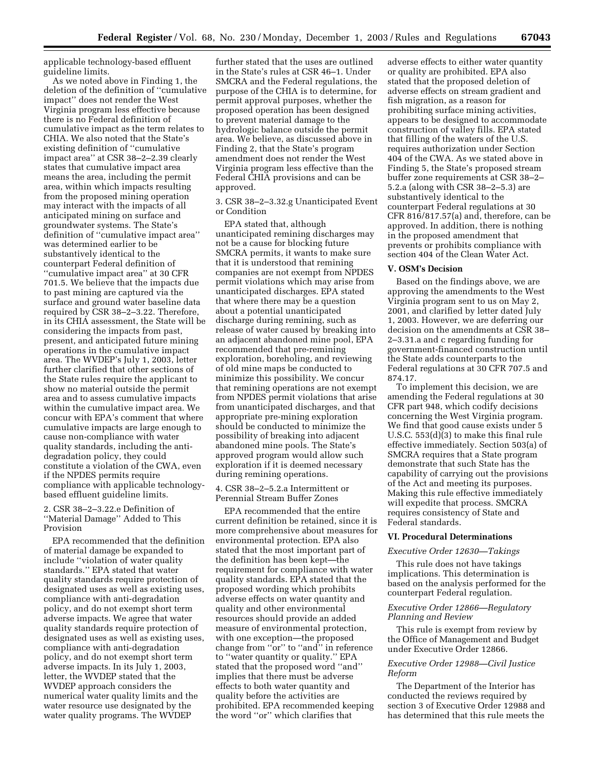applicable technology-based effluent guideline limits.

As we noted above in Finding 1, the deletion of the definition of ''cumulative impact'' does not render the West Virginia program less effective because there is no Federal definition of cumulative impact as the term relates to CHIA. We also noted that the State's existing definition of ''cumulative impact area'' at CSR 38–2–2.39 clearly states that cumulative impact area means the area, including the permit area, within which impacts resulting from the proposed mining operation may interact with the impacts of all anticipated mining on surface and groundwater systems. The State's definition of ''cumulative impact area'' was determined earlier to be substantively identical to the counterpart Federal definition of ''cumulative impact area'' at 30 CFR 701.5. We believe that the impacts due to past mining are captured via the surface and ground water baseline data required by CSR 38–2–3.22. Therefore, in its CHIA assessment, the State will be considering the impacts from past, present, and anticipated future mining operations in the cumulative impact area. The WVDEP's July 1, 2003, letter further clarified that other sections of the State rules require the applicant to show no material outside the permit area and to assess cumulative impacts within the cumulative impact area. We concur with EPA's comment that where cumulative impacts are large enough to cause non-compliance with water quality standards, including the antidegradation policy, they could constitute a violation of the CWA, even if the NPDES permits require compliance with applicable technologybased effluent guideline limits.

## 2. CSR 38–2–3.22.e Definition of ''Material Damage'' Added to This Provision

EPA recommended that the definition of material damage be expanded to include ''violation of water quality standards.'' EPA stated that water quality standards require protection of designated uses as well as existing uses, compliance with anti-degradation policy, and do not exempt short term adverse impacts. We agree that water quality standards require protection of designated uses as well as existing uses, compliance with anti-degradation policy, and do not exempt short term adverse impacts. In its July 1, 2003, letter, the WVDEP stated that the WVDEP approach considers the numerical water quality limits and the water resource use designated by the water quality programs. The WVDEP

further stated that the uses are outlined in the State's rules at CSR 46–1. Under SMCRA and the Federal regulations, the purpose of the CHIA is to determine, for permit approval purposes, whether the proposed operation has been designed to prevent material damage to the hydrologic balance outside the permit area. We believe, as discussed above in Finding 2, that the State's program amendment does not render the West Virginia program less effective than the Federal CHIA provisions and can be approved.

3. CSR 38–2–3.32.g Unanticipated Event or Condition

EPA stated that, although unanticipated remining discharges may not be a cause for blocking future SMCRA permits, it wants to make sure that it is understood that remining companies are not exempt from NPDES permit violations which may arise from unanticipated discharges. EPA stated that where there may be a question about a potential unanticipated discharge during remining, such as release of water caused by breaking into an adjacent abandoned mine pool, EPA recommended that pre-remining exploration, boreholing, and reviewing of old mine maps be conducted to minimize this possibility. We concur that remining operations are not exempt from NPDES permit violations that arise from unanticipated discharges, and that appropriate pre-mining exploration should be conducted to minimize the possibility of breaking into adjacent abandoned mine pools. The State's approved program would allow such exploration if it is deemed necessary during remining operations.

4. CSR 38–2–5.2.a Intermittent or Perennial Stream Buffer Zones

EPA recommended that the entire current definition be retained, since it is more comprehensive about measures for environmental protection. EPA also stated that the most important part of the definition has been kept—the requirement for compliance with water quality standards. EPA stated that the proposed wording which prohibits adverse effects on water quantity and quality and other environmental resources should provide an added measure of environmental protection, with one exception—the proposed change from ''or'' to ''and'' in reference to ''water quantity or quality.'' EPA stated that the proposed word ''and'' implies that there must be adverse effects to both water quantity and quality before the activities are prohibited. EPA recommended keeping the word ''or'' which clarifies that

adverse effects to either water quantity or quality are prohibited. EPA also stated that the proposed deletion of adverse effects on stream gradient and fish migration, as a reason for prohibiting surface mining activities, appears to be designed to accommodate construction of valley fills. EPA stated that filling of the waters of the U.S. requires authorization under Section 404 of the CWA. As we stated above in Finding 5, the State's proposed stream buffer zone requirements at CSR 38–2– 5.2.a (along with CSR 38–2–5.3) are substantively identical to the counterpart Federal regulations at 30 CFR 816/817.57(a) and, therefore, can be approved. In addition, there is nothing in the proposed amendment that prevents or prohibits compliance with section 404 of the Clean Water Act.

#### **V. OSM's Decision**

Based on the findings above, we are approving the amendments to the West Virginia program sent to us on May 2, 2001, and clarified by letter dated July 1, 2003. However, we are deferring our decision on the amendments at CSR 38– 2–3.31.a and c regarding funding for government-financed construction until the State adds counterparts to the Federal regulations at 30 CFR 707.5 and 874.17.

To implement this decision, we are amending the Federal regulations at 30 CFR part 948, which codify decisions concerning the West Virginia program. We find that good cause exists under 5 U.S.C. 553(d)(3) to make this final rule effective immediately. Section 503(a) of SMCRA requires that a State program demonstrate that such State has the capability of carrying out the provisions of the Act and meeting its purposes. Making this rule effective immediately will expedite that process. SMCRA requires consistency of State and Federal standards.

#### **VI. Procedural Determinations**

#### *Executive Order 12630—Takings*

This rule does not have takings implications. This determination is based on the analysis performed for the counterpart Federal regulation.

## *Executive Order 12866—Regulatory Planning and Review*

This rule is exempt from review by the Office of Management and Budget under Executive Order 12866.

## *Executive Order 12988—Civil Justice Reform*

The Department of the Interior has conducted the reviews required by section 3 of Executive Order 12988 and has determined that this rule meets the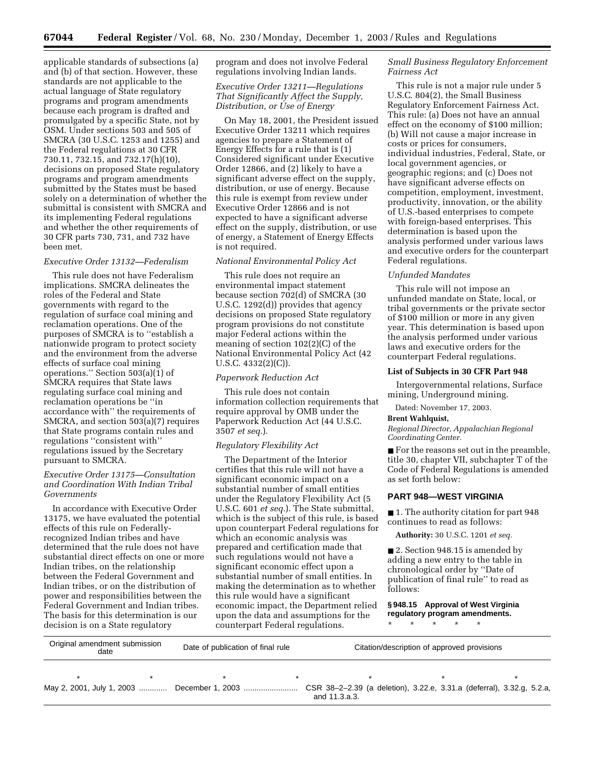applicable standards of subsections (a) and (b) of that section. However, these standards are not applicable to the actual language of State regulatory programs and program amendments because each program is drafted and promulgated by a specific State, not by OSM. Under sections 503 and 505 of SMCRA (30 U.S.C. 1253 and 1255) and the Federal regulations at 30 CFR 730.11, 732.15, and 732.17(h)(10), decisions on proposed State regulatory programs and program amendments submitted by the States must be based solely on a determination of whether the submittal is consistent with SMCRA and its implementing Federal regulations and whether the other requirements of 30 CFR parts 730, 731, and 732 have been met.

## *Executive Order 13132—Federalism*

This rule does not have Federalism implications. SMCRA delineates the roles of the Federal and State governments with regard to the regulation of surface coal mining and reclamation operations. One of the purposes of SMCRA is to ''establish a nationwide program to protect society and the environment from the adverse effects of surface coal mining operations.'' Section 503(a)(1) of SMCRA requires that State laws regulating surface coal mining and reclamation operations be ''in accordance with'' the requirements of SMCRA, and section 503(a)(7) requires that State programs contain rules and regulations ''consistent with'' regulations issued by the Secretary pursuant to SMCRA.

# *Executive Order 13175—Consultation and Coordination With Indian Tribal Governments*

In accordance with Executive Order 13175, we have evaluated the potential effects of this rule on Federallyrecognized Indian tribes and have determined that the rule does not have substantial direct effects on one or more Indian tribes, on the relationship between the Federal Government and Indian tribes, or on the distribution of power and responsibilities between the Federal Government and Indian tribes. The basis for this determination is our decision is on a State regulatory

program and does not involve Federal regulations involving Indian lands.

## *Executive Order 13211—Regulations That Significantly Affect the Supply, Distribution, or Use of Energy*

On May 18, 2001, the President issued Executive Order 13211 which requires agencies to prepare a Statement of Energy Effects for a rule that is (1) Considered significant under Executive Order 12866, and (2) likely to have a significant adverse effect on the supply, distribution, or use of energy. Because this rule is exempt from review under Executive Order 12866 and is not expected to have a significant adverse effect on the supply, distribution, or use of energy, a Statement of Energy Effects is not required.

## *National Environmental Policy Act*

This rule does not require an environmental impact statement because section 702(d) of SMCRA (30 U.S.C. 1292(d)) provides that agency decisions on proposed State regulatory program provisions do not constitute major Federal actions within the meaning of section 102(2)(C) of the National Environmental Policy Act (42 U.S.C. 4332(2)(C)).

#### *Paperwork Reduction Act*

This rule does not contain information collection requirements that require approval by OMB under the Paperwork Reduction Act (44 U.S.C. 3507 *et seq.*).

#### *Regulatory Flexibility Act*

The Department of the Interior certifies that this rule will not have a significant economic impact on a substantial number of small entities under the Regulatory Flexibility Act (5 U.S.C. 601 *et seq.*). The State submittal, which is the subject of this rule, is based upon counterpart Federal regulations for which an economic analysis was prepared and certification made that such regulations would not have a significant economic effect upon a substantial number of small entities. In making the determination as to whether this rule would have a significant economic impact, the Department relied upon the data and assumptions for the counterpart Federal regulations.

## *Small Business Regulatory Enforcement Fairness Act*

This rule is not a major rule under 5 U.S.C. 804(2), the Small Business Regulatory Enforcement Fairness Act. This rule: (a) Does not have an annual effect on the economy of \$100 million; (b) Will not cause a major increase in costs or prices for consumers, individual industries, Federal, State, or local government agencies, or geographic regions; and (c) Does not have significant adverse effects on competition, employment, investment, productivity, innovation, or the ability of U.S.-based enterprises to compete with foreign-based enterprises. This determination is based upon the analysis performed under various laws and executive orders for the counterpart Federal regulations.

#### *Unfunded Mandates*

This rule will not impose an unfunded mandate on State, local, or tribal governments or the private sector of \$100 million or more in any given year. This determination is based upon the analysis performed under various laws and executive orders for the counterpart Federal regulations.

#### **List of Subjects in 30 CFR Part 948**

Intergovernmental relations, Surface mining, Underground mining.

Dated: November 17, 2003.

#### **Brent Wahlquist,**

*Regional Director, Appalachian Regional Coordinating Center.*

■ For the reasons set out in the preamble, title 30, chapter VII, subchapter T of the Code of Federal Regulations is amended as set forth below:

## **PART 948—WEST VIRGINIA**

■ 1. The authority citation for part 948 continues to read as follows:

**Authority:** 30 U.S.C. 1201 *et seq.*

■ 2. Section 948.15 is amended by adding a new entry to the table in chronological order by ''Date of publication of final rule'' to read as follows:

**§ 948.15 Approval of West Virginia regulatory program amendments.** \* \* \* \* \*

| Original amendment submission<br>date |  | Date of publication of final rule |  | Citation/description of approved provisions                                                                                            |  |  |  |
|---------------------------------------|--|-----------------------------------|--|----------------------------------------------------------------------------------------------------------------------------------------|--|--|--|
|                                       |  |                                   |  |                                                                                                                                        |  |  |  |
|                                       |  |                                   |  | May 2, 2001, July 1, 2003  December 1, 2003  CSR 38-2-2.39 (a deletion), 3.22.e, 3.31.a (deferral), 3.32.g, 5.2.a,<br>and 11 $3$ a $3$ |  |  |  |